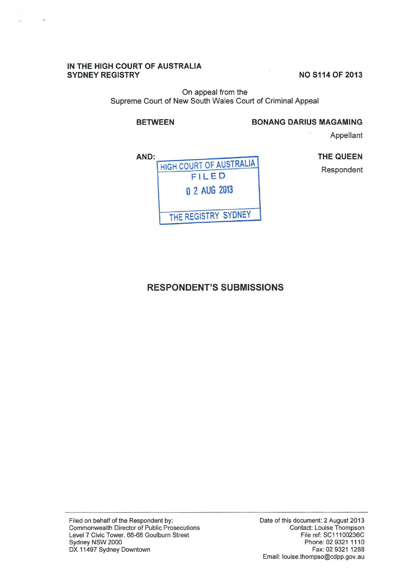#### IN THE HIGH COURT OF AUSTRALIA SYDNEY REGISTRY

NO S114 OF 2013

On appeal from the Supreme Court of New South Wales Court of Criminal Appeal

# BETWEEN BONANG DARIUS MAGAMING

Appellant

THE QUEEN



# RESPONDENT'S SUBMISSIONS

Filed on behalf of the Respondent by: Commonwealth Director of Public Prosecutions Level 7 Civic Tower, 66-68 Goulburn Street Sydney NSW 2000 DX 11497 Sydney Downtown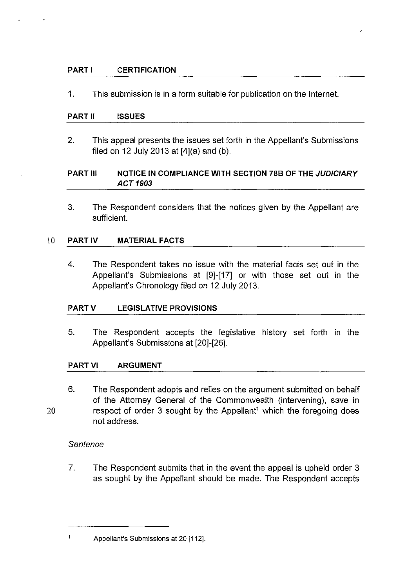## **PART I CERTIFICATION**

1. This submission is in a form suitable for publication on the Internet.

### **PART II ISSUES**

2. This appeal presents the issues set forth in the Appellant's Submissions filed on 12 July 2013 at [4](a} and (b).

# **PART Ill NOTICE IN COMPLIANCE WITH SECTION 788 OF THE JUDICIARY ACT 1903**

3. The Respondent considers that the notices given by the Appellant are sufficient.

### 10 **PARTIV MATERIAL FACTS**

4. The Respondent takes no issue with the material facts set out in the Appellant's Submissions at [9]-[17] or with those set out in the Appellant's Chronology filed on 12 July 2013.

### **PARTV LEGISLATIVE PROVISIONS**

5. The Respondent accepts the legislative history set forth in the Appellant's Submissions at [20]-[26].

### **PART VI ARGUMENT**

6. The Respondent adopts and relies on the argument submitted on behalf of the Attorney General of the Commonwealth (intervening), save in respect of order 3 sought by the Appellant<sup>1</sup> which the foregoing does not address.

### **Sentence**

 $\bf 1$ 

20

7. The Respondent submits that in the event the appeal is upheld order 3 as sought by the Appellant should be made. The Respondent accepts

<sup>1</sup> 

Appellant's Submissions at 20 [112].